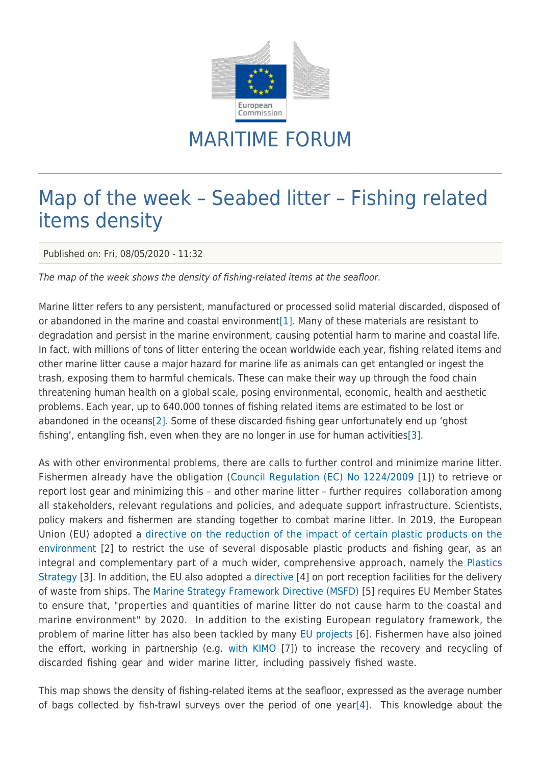

## MARITIME FORUM

## Map of the week – Seabed litter – Fishing related items density

Published on: Fri, 08/05/2020 - 11:32

The map of the week shows the density of fishing-related items at the seafloor.

<span id="page-0-0"></span>Marine litter refers to any persistent, manufactured or processed solid material discarded, disposed of or abandoned in the marine and coastal environment[\[1\].](#page-1-0) Many of these materials are resistant to degradation and persist in the marine environment, causing potential harm to marine and coastal life. In fact, with millions of tons of litter entering the ocean worldwide each year, fishing related items and other marine litter cause a major hazard for marine life as animals can get entangled or ingest the trash, exposing them to harmful chemicals. These can make their way up through the food chain threatening human health on a global scale, posing environmental, economic, health and aesthetic problems. Each year, up to 640.000 tonnes of fishing related items are estimated to be lost or abandoned in the oceans[\[2\].](#page-1-1) Some of these discarded fishing gear unfortunately end up 'ghost fishing', entangling fish, even when they are no longer in use for human activities[\[3\].](#page-1-2)

<span id="page-0-2"></span><span id="page-0-1"></span>As with other environmental problems, there are calls to further control and minimize marine litter. Fishermen already have the obligation ([Council Regulation \(EC\) No 1224/2009](http://eur-lex.europa.eu/legal-content/EN/TXT/?uri=CELEX:32009R1224) [1]) to retrieve or report lost gear and minimizing this – and other marine litter – further requires collaboration among all stakeholders, relevant regulations and policies, and adequate support infrastructure. Scientists, policy makers and fishermen are standing together to combat marine litter. In 2019, the European Union (EU) adopted a [directive on the reduction of the impact of certain plastic products on the](https://eur-lex.europa.eu/legal-content/EN/TXT/?qid=1575369636397&uri=CELEX:32019L0904) [environment](https://eur-lex.europa.eu/legal-content/EN/TXT/?qid=1575369636397&uri=CELEX:32019L0904) [2] to restrict the use of several disposable plastic products and fishing gear, as an integral and complementary part of a much wider, comprehensive approach, namely the [Plastics](https://eur-lex.europa.eu/legal-content/EN/TXT/?uri=SWD:2018:0254:FIN) [Strategy](https://eur-lex.europa.eu/legal-content/EN/TXT/?uri=SWD:2018:0254:FIN) [3]. In addition, the EU also adopted a [directive](https://eur-lex.europa.eu/legal-content/EN/TXT/PDF/?uri=CELEX:32019L0883&from=EN) [4] on port reception facilities for the delivery of waste from ships. The [Marine Strategy Framework Directive \(MSFD\)](https://eur-lex.europa.eu/legal-content/EN/TXT/PDF/?uri=CELEX:32008L0056&from=EN) [5] requires EU Member States to ensure that, "properties and quantities of marine litter do not cause harm to the coastal and marine environment" by 2020. In addition to the existing European regulatory framework, the problem of marine litter has also been tackled by many [EU projects](https://webgate.ec.europa.eu/maritimeforum/en/frontpage/articles/544) [6]. Fishermen have also joined the effort, working in partnership (e.g. [with KIMO](http://www.kimointernational.org/fishing-for-litter/) [7]) to increase the recovery and recycling of discarded fishing gear and wider marine litter, including passively fished waste.

<span id="page-0-3"></span>This map shows the density of fishing-related items at the seafloor, expressed as the average number of bags collected by fish-trawl surveys over the period of one year[\[4\]](#page-1-3). This knowledge about the